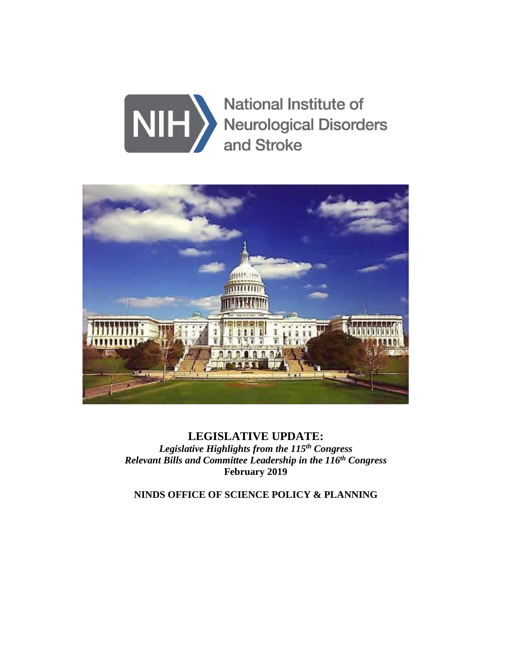



**LEGISLATIVE UPDATE:** *Legislative Highlights from the 115 th Congress Relevant Bills and Committee Leadership in the 116 th Congress* **February 2019**

**NINDS OFFICE OF SCIENCE POLICY & PLANNING**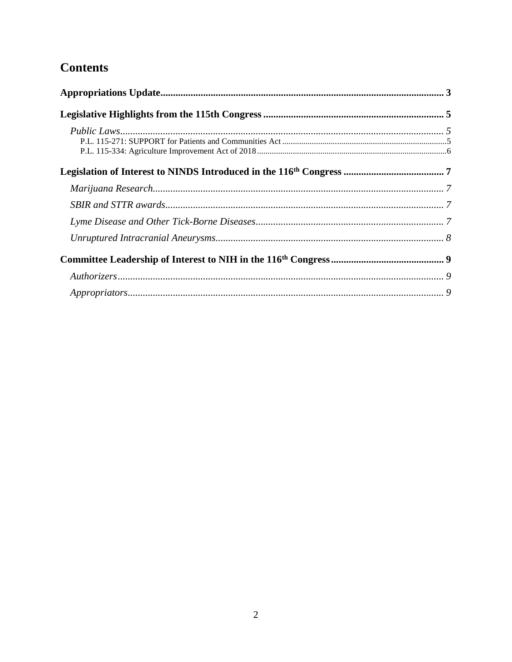# **Contents**

| $\label{propr} Approximations.$ |  |
|---------------------------------|--|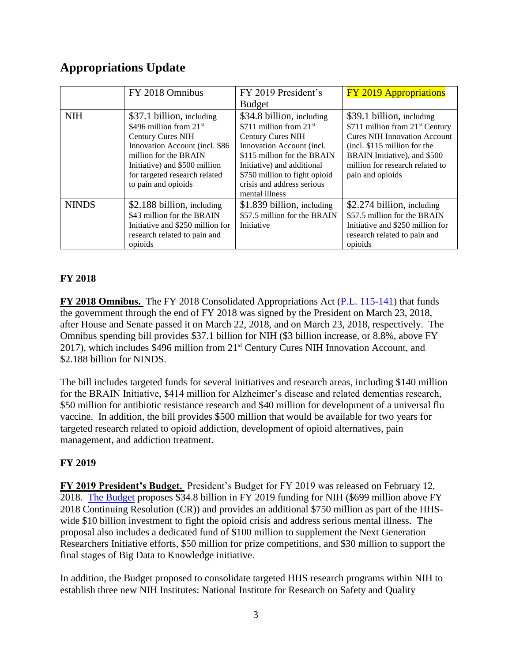## <span id="page-2-0"></span>**Appropriations Update**

|              | FY 2018 Omnibus                                                                                                                                                                                                 | FY 2019 President's                                                                                                                                                                                           | <b>FY 2019 Appropriations</b>                                                                                                                                                                                                           |
|--------------|-----------------------------------------------------------------------------------------------------------------------------------------------------------------------------------------------------------------|---------------------------------------------------------------------------------------------------------------------------------------------------------------------------------------------------------------|-----------------------------------------------------------------------------------------------------------------------------------------------------------------------------------------------------------------------------------------|
|              |                                                                                                                                                                                                                 | <b>Budget</b>                                                                                                                                                                                                 |                                                                                                                                                                                                                                         |
| <b>NIH</b>   | \$37.1 billion, including<br>\$496 million from $21st$<br><b>Century Cures NIH</b><br>Innovation Account (incl. \$86<br>million for the BRAIN<br>Initiative) and \$500 million<br>for targeted research related | \$34.8 billion, including<br>\$711 million from $21st$<br><b>Century Cures NIH</b><br>Innovation Account (incl.<br>\$115 million for the BRAIN<br>Initiative) and additional<br>\$750 million to fight opioid | \$39.1 billion, including<br>\$711 million from 21 <sup>st</sup> Century<br><b>Cures NIH Innovation Account</b><br>$(incl. $115$ million for the<br>BRAIN Initiative), and \$500<br>million for research related to<br>pain and opioids |
|              | to pain and opioids                                                                                                                                                                                             | crisis and address serious<br>mental illness                                                                                                                                                                  |                                                                                                                                                                                                                                         |
| <b>NINDS</b> | \$2.188 billion, including<br>\$43 million for the BRAIN<br>Initiative and \$250 million for<br>research related to pain and<br>opioids                                                                         | \$1.839 billion, including<br>\$57.5 million for the BRAIN<br>Initiative                                                                                                                                      | \$2.274 billion, including<br>\$57.5 million for the BRAIN<br>Initiative and \$250 million for<br>research related to pain and<br>opioids                                                                                               |

#### **FY 2018**

**FY 2018 Omnibus.** The FY 2018 Consolidated Appropriations Act [\(P.L. 115-141\)](https://www.congress.gov/bill/115th-congress/house-bill/1625/text) that funds the government through the end of FY 2018 was signed by the President on March 23, 2018, after House and Senate passed it on March 22, 2018, and on March 23, 2018, respectively. The Omnibus spending bill provides \$37.1 billion for NIH (\$3 billion increase, or 8.8%, above FY 2017), which includes  $$496$  million from  $21<sup>st</sup>$  Century Cures NIH Innovation Account, and \$2.188 billion for NINDS.

The bill includes targeted funds for several initiatives and research areas, including \$140 million for the BRAIN Initiative, \$414 million for Alzheimer's disease and related dementias research, \$50 million for antibiotic resistance research and \$40 million for development of a universal flu vaccine. In addition, the bill provides \$500 million that would be available for two years for targeted research related to opioid addiction, development of opioid alternatives, pain management, and addiction treatment.

#### **FY 2019**

**FY 2019 President's Budget.** President's Budget for FY 2019 was released on February 12, 2018. [The Budget](https://www.hhs.gov/sites/default/files/fy-2019-budget-in-brief.pdf) proposes \$34.8 billion in FY 2019 funding for NIH (\$699 million above FY 2018 Continuing Resolution (CR)) and provides an additional \$750 million as part of the HHSwide \$10 billion investment to fight the opioid crisis and address serious mental illness. The proposal also includes a dedicated fund of \$100 million to supplement the Next Generation Researchers Initiative efforts, \$50 million for prize competitions, and \$30 million to support the final stages of Big Data to Knowledge initiative.

In addition, the Budget proposed to consolidate targeted HHS research programs within NIH to establish three new NIH Institutes: National Institute for Research on Safety and Quality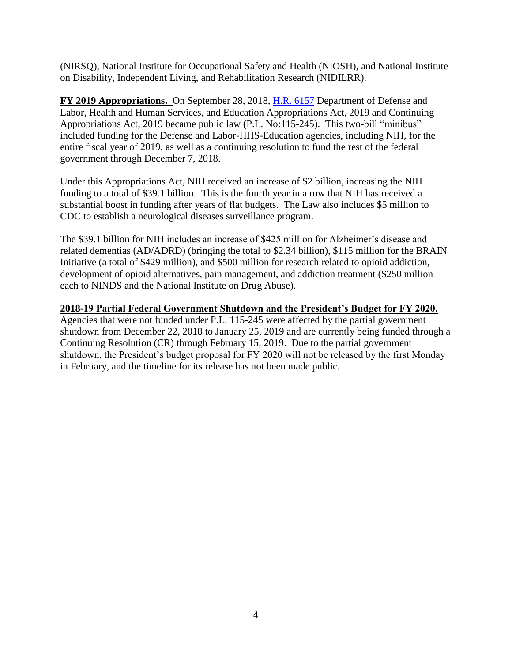(NIRSQ), National Institute for Occupational Safety and Health (NIOSH), and National Institute on Disability, Independent Living, and Rehabilitation Research (NIDILRR).

**FY 2019 Appropriations.** On September 28, 2018, [H.R. 6157](https://www.congress.gov/bill/115th-congress/house-bill/6157/text) Department of Defense and Labor, Health and Human Services, and Education Appropriations Act, 2019 and Continuing Appropriations Act, 2019 became public law (P.L. No:115-245). This two-bill "minibus" included funding for the Defense and Labor-HHS-Education agencies, including NIH, for the entire fiscal year of 2019, as well as a continuing resolution to fund the rest of the federal government through December 7, 2018.

Under this Appropriations Act, NIH received an increase of \$2 billion, increasing the NIH funding to a total of \$39.1 billion. This is the fourth year in a row that NIH has received a substantial boost in funding after years of flat budgets. The Law also includes \$5 million to CDC to establish a neurological diseases surveillance program.

The \$39.1 billion for NIH includes an increase of \$425 million for Alzheimer's disease and related dementias (AD/ADRD) (bringing the total to \$2.34 billion), \$115 million for the BRAIN Initiative (a total of \$429 million), and \$500 million for research related to opioid addiction, development of opioid alternatives, pain management, and addiction treatment (\$250 million each to NINDS and the National Institute on Drug Abuse).

#### **2018-19 Partial Federal Government Shutdown and the President's Budget for FY 2020.**

Agencies that were not funded under P.L. 115-245 were affected by the partial government shutdown from December 22, 2018 to January 25, 2019 and are currently being funded through a Continuing Resolution (CR) through February 15, 2019. Due to the partial government shutdown, the President's budget proposal for FY 2020 will not be released by the first Monday in February, and the timeline for its release has not been made public.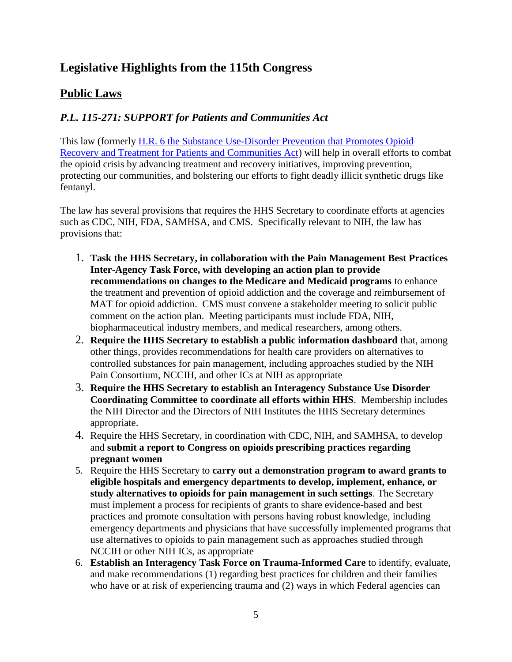## <span id="page-4-0"></span>**Legislative Highlights from the 115th Congress**

## <span id="page-4-1"></span>**Public Laws**

### <span id="page-4-2"></span>*P.L. 115-271: SUPPORT for Patients and Communities Act*

This law (formerly [H.R. 6](https://www.congress.gov/bill/115th-congress/house-bill/6?q=%7B%22search%22%3A%5B%22HR6%22%5D%7D&r=2&s=2) the Substance Use-Disorder Prevention that Promotes Opioid Recovery and Treatment for Patients and Communities Act) will help in overall efforts to combat the opioid crisis by advancing treatment and recovery initiatives, improving prevention, protecting our communities, and bolstering our efforts to fight deadly illicit synthetic drugs like fentanyl.

The law has several provisions that requires the HHS Secretary to coordinate efforts at agencies such as CDC, NIH, FDA, SAMHSA, and CMS. Specifically relevant to NIH, the law has provisions that:

- 1. **Task the HHS Secretary, in collaboration with the Pain Management Best Practices Inter-Agency Task Force, with developing an action plan to provide recommendations on changes to the Medicare and Medicaid programs** to enhance the treatment and prevention of opioid addiction and the coverage and reimbursement of MAT for opioid addiction. CMS must convene a stakeholder meeting to solicit public comment on the action plan. Meeting participants must include FDA, NIH, biopharmaceutical industry members, and medical researchers, among others.
- 2. **Require the HHS Secretary to establish a public information dashboard** that, among other things, provides recommendations for health care providers on alternatives to controlled substances for pain management, including approaches studied by the NIH Pain Consortium, NCCIH, and other ICs at NIH as appropriate
- 3. **Require the HHS Secretary to establish an Interagency Substance Use Disorder Coordinating Committee to coordinate all efforts within HHS**. Membership includes the NIH Director and the Directors of NIH Institutes the HHS Secretary determines appropriate.
- 4. Require the HHS Secretary, in coordination with CDC, NIH, and SAMHSA, to develop and **submit a report to Congress on opioids prescribing practices regarding pregnant women**
- 5. Require the HHS Secretary to **carry out a demonstration program to award grants to eligible hospitals and emergency departments to develop, implement, enhance, or study alternatives to opioids for pain management in such settings**. The Secretary must implement a process for recipients of grants to share evidence-based and best practices and promote consultation with persons having robust knowledge, including emergency departments and physicians that have successfully implemented programs that use alternatives to opioids to pain management such as approaches studied through NCCIH or other NIH ICs, as appropriate
- 6. **Establish an Interagency Task Force on Trauma-Informed Care** to identify, evaluate, and make recommendations (1) regarding best practices for children and their families who have or at risk of experiencing trauma and (2) ways in which Federal agencies can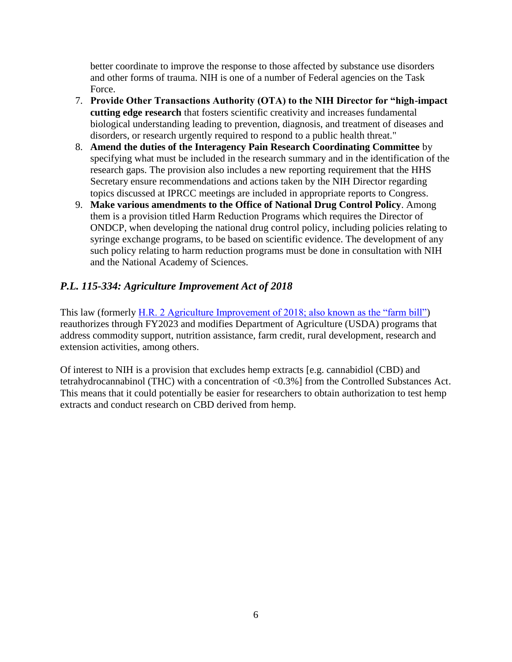better coordinate to improve the response to those affected by substance use disorders and other forms of trauma. NIH is one of a number of Federal agencies on the Task Force.

- 7. **Provide Other Transactions Authority (OTA) to the NIH Director for "high-impact cutting edge research** that fosters scientific creativity and increases fundamental biological understanding leading to prevention, diagnosis, and treatment of diseases and disorders, or research urgently required to respond to a public health threat."
- 8. **Amend the duties of the Interagency Pain Research Coordinating Committee** by specifying what must be included in the research summary and in the identification of the research gaps. The provision also includes a new reporting requirement that the HHS Secretary ensure recommendations and actions taken by the NIH Director regarding topics discussed at IPRCC meetings are included in appropriate reports to Congress.
- 9. **Make various amendments to the Office of National Drug Control Policy**. Among them is a provision titled Harm Reduction Programs which requires the Director of ONDCP, when developing the national drug control policy, including policies relating to syringe exchange programs, to be based on scientific evidence. The development of any such policy relating to harm reduction programs must be done in consultation with NIH and the National Academy of Sciences.

## <span id="page-5-0"></span>*P.L. 115-334: Agriculture Improvement Act of 2018*

This law (formerly [H.R. 2 Agriculture Improvement of 2018; also known as the "farm bill"\)](https://www.congress.gov/bill/115th-congress/house-bill/2) reauthorizes through FY2023 and modifies Department of Agriculture (USDA) programs that address commodity support, nutrition assistance, farm credit, rural development, research and extension activities, among others.

Of interest to NIH is a provision that excludes hemp extracts [e.g. cannabidiol (CBD) and tetrahydrocannabinol (THC) with a concentration of <0.3%] from the Controlled Substances Act. This means that it could potentially be easier for researchers to obtain authorization to test hemp extracts and conduct research on CBD derived from hemp.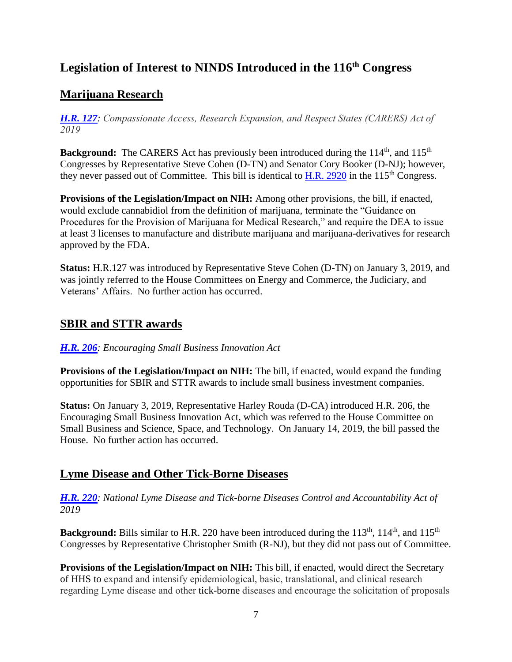## <span id="page-6-0"></span>**Legislation of Interest to NINDS Introduced in the 116 th Congress**

## <span id="page-6-1"></span>**Marijuana Research**

*[H.R. 127](https://www.congress.gov/bill/116th-congress/house-bill/127?q=%7B%22search%22%3A%5B%22CARERS%22%5D%7D&s=5&r=1): Compassionate Access, Research Expansion, and Respect States (CARERS) Act of 2019*

**Background:** The CARERS Act has previously been introduced during the 114<sup>th</sup>, and 115<sup>th</sup> Congresses by Representative Steve Cohen (D-TN) and Senator Cory Booker (D-NJ); however, they never passed out of Committee. This bill is identical to H.R.  $2920$  in the  $115<sup>th</sup>$  Congress.

**Provisions of the Legislation/Impact on NIH:** Among other provisions, the bill, if enacted, would exclude cannabidiol from the definition of marijuana, terminate the "Guidance on Procedures for the Provision of Marijuana for Medical Research," and require the DEA to issue at least 3 licenses to manufacture and distribute marijuana and marijuana-derivatives for research approved by the FDA.

**Status:** H.R.127 was introduced by Representative Steve Cohen (D-TN) on January 3, 2019, and was jointly referred to the House Committees on Energy and Commerce, the Judiciary, and Veterans' Affairs. No further action has occurred.

## <span id="page-6-2"></span>**SBIR and STTR awards**

#### *[H.R. 206](https://www.congress.gov/bill/116th-congress/house-bill/206?q=%7B%22search%22%3A%5B%22HR206%22%5D%7D&s=6&r=1): Encouraging Small Business Innovation Act*

**Provisions of the Legislation/Impact on NIH:** The bill, if enacted, would expand the funding opportunities for SBIR and STTR awards to include small business investment companies.

**Status:** On January 3, 2019, Representative Harley Rouda (D-CA) introduced H.R. 206, the Encouraging Small Business Innovation Act, which was referred to the House Committee on Small Business and Science, Space, and Technology. On January 14, 2019, the bill passed the House. No further action has occurred.

## <span id="page-6-3"></span>**Lyme Disease and Other Tick-Borne Diseases**

*[H.R.](https://www.congress.gov/bill/116th-congress/house-bill/220?q=%7B%22search%22%3A%5B%22%5C%22tick-borne%5C%22%22%5D%7D&s=3&r=1) 220: National Lyme Disease and Tick-borne Diseases Control and Accountability Act of 2019*

**Background:** Bills similar to H.R. 220 have been introduced during the 113<sup>th</sup>, 114<sup>th</sup>, and 115<sup>th</sup> Congresses by Representative Christopher Smith (R-NJ), but they did not pass out of Committee.

**Provisions of the Legislation/Impact on NIH:** This bill, if enacted, would direct the Secretary of HHS to expand and intensify epidemiological, basic, translational, and clinical research regarding Lyme disease and other tick-borne diseases and encourage the solicitation of proposals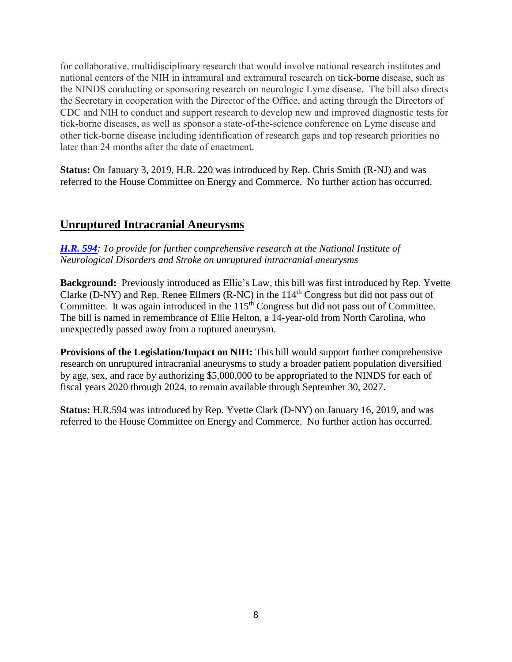for collaborative, multidisciplinary research that would involve national research institutes and national centers of the NIH in intramural and extramural research on tick-borne disease, such as the NINDS conducting or sponsoring research on neurologic Lyme disease. The bill also directs the Secretary in cooperation with the Director of the Office, and acting through the Directors of CDC and NIH to conduct and support research to develop new and improved diagnostic tests for tick-borne diseases, as well as sponsor a state-of-the-science conference on Lyme disease and other tick-borne disease including identification of research gaps and top research priorities no later than 24 months after the date of enactment.

**Status:** On January 3, 2019, H.R. 220 was introduced by Rep. Chris Smith (R-NJ) and was referred to the House Committee on Energy and Commerce. No further action has occurred.

## <span id="page-7-0"></span>**Unruptured Intracranial Aneurysms**

*[H.R.](https://www.congress.gov/bill/116th-congress/house-bill/594/text?q=%7B%22search%22%3A%5B%22HR594%22%5D%7D&r=1&s=1) 594: To provide for further comprehensive research at the National Institute of Neurological Disorders and Stroke on unruptured intracranial aneurysms*

**Background:** Previously introduced as Ellie's Law, this bill was first introduced by Rep. Yvette Clarke (D-NY) and Rep. Renee Ellmers (R-NC) in the  $114<sup>th</sup>$  Congress but did not pass out of Committee. It was again introduced in the 115<sup>th</sup> Congress but did not pass out of Committee. The bill is named in remembrance of Ellie Helton, a 14-year-old from North Carolina, who unexpectedly passed away from a ruptured aneurysm.

**Provisions of the Legislation/Impact on NIH:** This bill would support further comprehensive research on unruptured intracranial aneurysms to study a broader patient population diversified by age, sex, and race by authorizing \$5,000,000 to be appropriated to the NINDS for each of fiscal years 2020 through 2024, to remain available through September 30, 2027.

**Status:** H.R.594 was introduced by Rep. Yvette Clark (D-NY) on January 16, 2019, and was referred to the House Committee on Energy and Commerce. No further action has occurred.